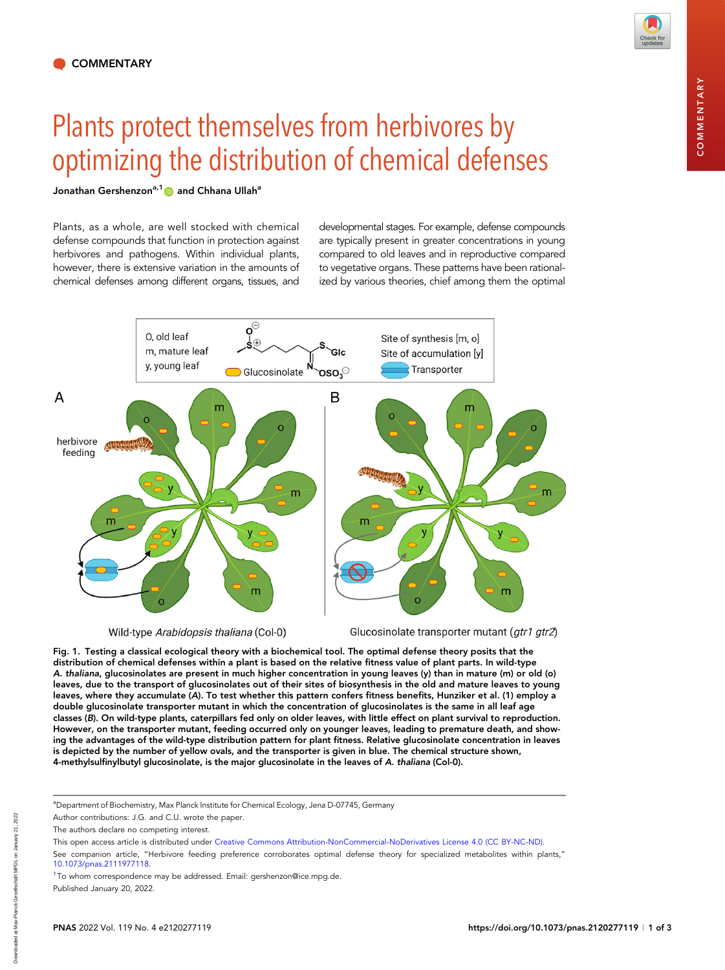## Plants protect themselves from herbivores by optimizing the distribution of chemical defenses

## Jonathan Gershenzon<sup>a,1</sup> and Chhana Ullah<sup>a</sup>

Plants, as a whole, are well stocked with chemical defense compounds that function in protection against herbivores and pathogens. Within individual plants, however, there is extensive variation in the amounts of chemical defenses among different organs, tissues, and

developmental stages. For example, defense compounds are typically present in greater concentrations in young compared to old leaves and in reproductive compared to vegetative organs. These patterns have been rationalized by various theories, chief among them the optimal



Wild-type Arabidopsis thaliana (Col-0)

Glucosinolate transporter mutant (gtr1 gtr2)

Fig. 1. Testing a classical ecological theory with a biochemical tool. The optimal defense theory posits that the distribution of chemical defenses within a plant is based on the relative fitness value of plant parts. In wild-type A. thaliana, glucosinolates are present in much higher concentration in young leaves (y) than in mature (m) or old (o) leaves, due to the transport of glucosinolates out of their sites of biosynthesis in the old and mature leaves to young leaves, where they accumulate (A). To test whether this pattern confers fitness benefits, Hunziker et al. (1) employ a double glucosinolate transporter mutant in which the concentration of glucosinolates is the same in all leaf age classes (B). On wild-type plants, caterpillars fed only on older leaves, with little effect on plant survival to reproduction. However, on the transporter mutant, feeding occurred only on younger leaves, leading to premature death, and showing the advantages of the wild-type distribution pattern for plant fitness. Relative glucosinolate concentration in leaves is depicted by the number of yellow ovals, and the transporter is given in blue. The chemical structure shown, 4-methylsulfinylbutyl glucosinolate, is the major glucosinolate in the leaves of A. thaliana (Col-0).

Downloaded at Max-Planck Gesellschaft MPDL on January 21, 2022

hownloaded

-Planck Gesellschaft MPDL on January 21,

<sup>&</sup>lt;sup>a</sup>Department of Biochemistry, Max Planck Institute for Chemical Ecology, Jena D-07745, Germany

Author contributions: J.G. and C.U. wrote the paper.

The authors declare no competing interest.

This open access article is distributed under [Creative Commons Attribution-NonCommercial-NoDerivatives License 4.0 \(CC BY-NC-ND\).](https://creativecommons.org/licenses/by-nc-nd/4.0/)

See companion article, "Herbivore feeding preference corroborates optimal defense theory for specialized metabolites within plants," [10.1073/pnas.2111977118](https://doi.org/10.1073/pnas.2111977118).

<sup>&</sup>lt;sup>1</sup>To whom correspondence may be addressed. Email: [gershenzon@ice.mpg.de.](mailto:gershenzon@ice.mpg.de)

Published January 20, 2022.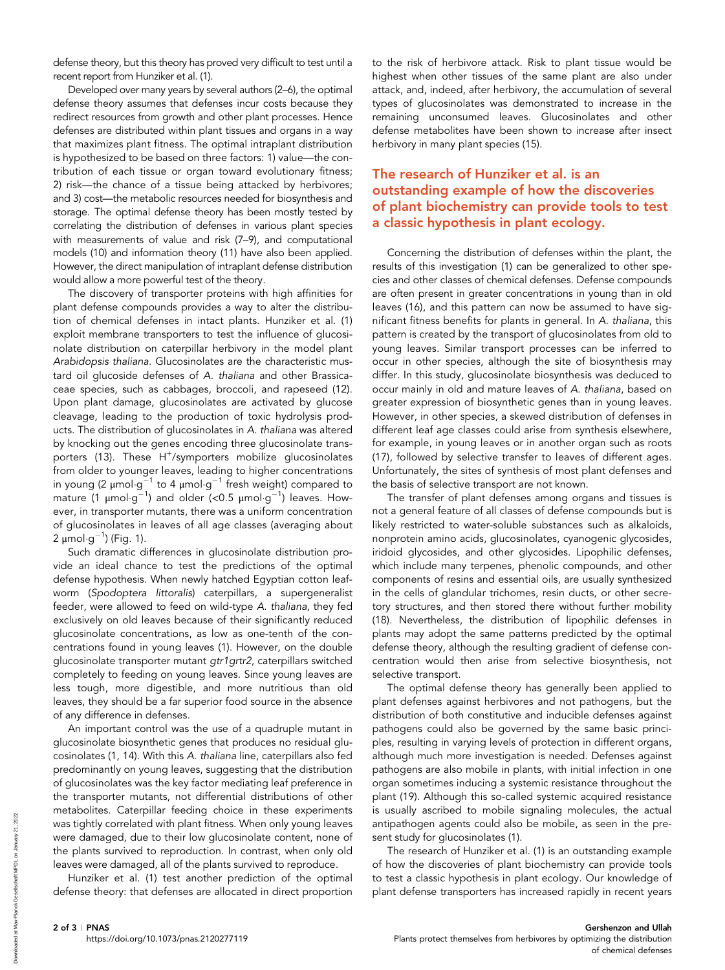defense theory, but this theory has proved very difficult to test until a recent report from Hunziker et al. (1).

Developed over many years by several authors (2–6), the optimal defense theory assumes that defenses incur costs because they redirect resources from growth and other plant processes. Hence defenses are distributed within plant tissues and organs in a way that maximizes plant fitness. The optimal intraplant distribution is hypothesized to be based on three factors: 1) value—the contribution of each tissue or organ toward evolutionary fitness; 2) risk—the chance of a tissue being attacked by herbivores; and 3) cost—the metabolic resources needed for biosynthesis and storage. The optimal defense theory has been mostly tested by correlating the distribution of defenses in various plant species with measurements of value and risk (7–9), and computational models (10) and information theory (11) have also been applied. However, the direct manipulation of intraplant defense distribution would allow a more powerful test of the theory.

The discovery of transporter proteins with high affinities for plant defense compounds provides a way to alter the distribution of chemical defenses in intact plants. Hunziker et al. (1) exploit membrane transporters to test the influence of glucosinolate distribution on caterpillar herbivory in the model plant Arabidopsis thaliana. Glucosinolates are the characteristic mustard oil glucoside defenses of A. thaliana and other Brassicaceae species, such as cabbages, broccoli, and rapeseed (12). Upon plant damage, glucosinolates are activated by glucose cleavage, leading to the production of toxic hydrolysis products. The distribution of glucosinolates in A. thaliana was altered by knocking out the genes encoding three glucosinolate transporters (13). These H<sup>+</sup>/symporters mobilize glucosinolates from older to younger leaves, leading to higher concentrations in young (2  $\mu$ mol $\cdot$ g $^{-1}$  to 4  $\mu$ mol $\cdot$ g $^{-1}$  fresh weight) compared to mature (1  $\mu$ mol $\cdot$ g $^{-1}$ ) and older (<0.5  $\mu$ mol $\cdot$ g $^{-1}$ ) leaves. However, in transporter mutants, there was a uniform concentration of glucosinolates in leaves of all age classes (averaging about 2 μmol $\cdot$ g $^{-1}$ ) (Fig. 1).

Such dramatic differences in glucosinolate distribution provide an ideal chance to test the predictions of the optimal defense hypothesis. When newly hatched Egyptian cotton leafworm (Spodoptera littoralis) caterpillars, a supergeneralist feeder, were allowed to feed on wild-type A. thaliana, they fed exclusively on old leaves because of their significantly reduced glucosinolate concentrations, as low as one-tenth of the concentrations found in young leaves (1). However, on the double glucosinolate transporter mutant gtr1grtr2, caterpillars switched completely to feeding on young leaves. Since young leaves are less tough, more digestible, and more nutritious than old leaves, they should be a far superior food source in the absence of any difference in defenses.

An important control was the use of a quadruple mutant in glucosinolate biosynthetic genes that produces no residual glucosinolates (1, 14). With this A. thaliana line, caterpillars also fed predominantly on young leaves, suggesting that the distribution of glucosinolates was the key factor mediating leaf preference in the transporter mutants, not differential distributions of other metabolites. Caterpillar feeding choice in these experiments was tightly correlated with plant fitness. When only young leaves were damaged, due to their low glucosinolate content, none of the plants survived to reproduction. In contrast, when only old leaves were damaged, all of the plants survived to reproduce.

Hunziker et al. (1) test another prediction of the optimal defense theory: that defenses are allocated in direct proportion

to the risk of herbivore attack. Risk to plant tissue would be highest when other tissues of the same plant are also under attack, and, indeed, after herbivory, the accumulation of several types of glucosinolates was demonstrated to increase in the remaining unconsumed leaves. Glucosinolates and other defense metabolites have been shown to increase after insect herbivory in many plant species (15).

## The research of Hunziker et al. is an outstanding example of how the discoveries of plant biochemistry can provide tools to test a classic hypothesis in plant ecology.

Concerning the distribution of defenses within the plant, the results of this investigation (1) can be generalized to other species and other classes of chemical defenses. Defense compounds are often present in greater concentrations in young than in old leaves (16), and this pattern can now be assumed to have significant fitness benefits for plants in general. In A. thaliana, this pattern is created by the transport of glucosinolates from old to young leaves. Similar transport processes can be inferred to occur in other species, although the site of biosynthesis may differ. In this study, glucosinolate biosynthesis was deduced to occur mainly in old and mature leaves of A. thaliana, based on greater expression of biosynthetic genes than in young leaves. However, in other species, a skewed distribution of defenses in different leaf age classes could arise from synthesis elsewhere, for example, in young leaves or in another organ such as roots (17), followed by selective transfer to leaves of different ages. Unfortunately, the sites of synthesis of most plant defenses and the basis of selective transport are not known.

The transfer of plant defenses among organs and tissues is not a general feature of all classes of defense compounds but is likely restricted to water-soluble substances such as alkaloids, nonprotein amino acids, glucosinolates, cyanogenic glycosides, iridoid glycosides, and other glycosides. Lipophilic defenses, which include many terpenes, phenolic compounds, and other components of resins and essential oils, are usually synthesized in the cells of glandular trichomes, resin ducts, or other secretory structures, and then stored there without further mobility (18). Nevertheless, the distribution of lipophilic defenses in plants may adopt the same patterns predicted by the optimal defense theory, although the resulting gradient of defense concentration would then arise from selective biosynthesis, not selective transport.

The optimal defense theory has generally been applied to plant defenses against herbivores and not pathogens, but the distribution of both constitutive and inducible defenses against pathogens could also be governed by the same basic principles, resulting in varying levels of protection in different organs, although much more investigation is needed. Defenses against pathogens are also mobile in plants, with initial infection in one organ sometimes inducing a systemic resistance throughout the plant (19). Although this so-called systemic acquired resistance is usually ascribed to mobile signaling molecules, the actual antipathogen agents could also be mobile, as seen in the present study for glucosinolates (1).

The research of Hunziker et al. (1) is an outstanding example of how the discoveries of plant biochemistry can provide tools to test a classic hypothesis in plant ecology. Our knowledge of plant defense transporters has increased rapidly in recent years